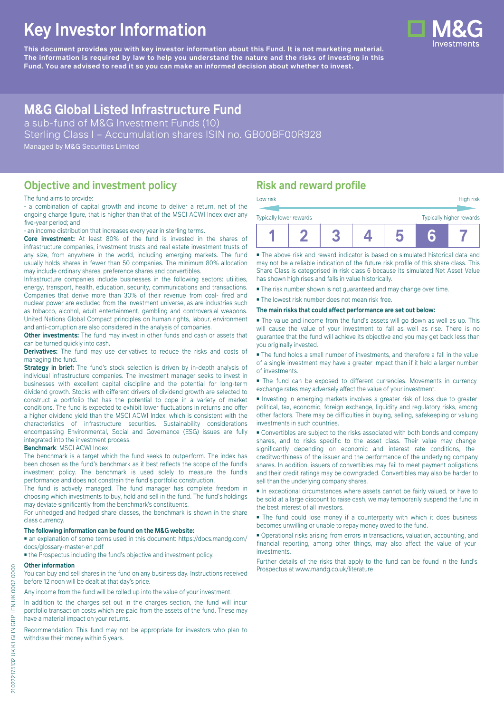# **Key Investor Information**

**This document provides you with key investor information about this Fund. It is not marketing material.** The information is required by law to help you understand the nature and the risks of investing in this **Fund. You are advised to read it so you can make an informed decision about whether to invest.**

# **M&G Global Listed Infrastructure Fund**

a sub-fund of M&G Investment Funds (10) Sterling Class I - Accumulation shares ISIN no. GB00BF00R928

Managed by M&G Securities Limited

# **Objective and investment policy**

#### The fund aims to provide:

• a combination of capital growth and income to deliver a return, net of the ongoing charge figure, that is higher than that of the MSCI ACWI Index over any five-year period; and

• an income distribution that increases every year in sterling terms.

**Core investment:** At least 80% of the fund is invested in the shares of infrastructure companies, investment trusts and real estate investment trusts of any size, from anywhere in the world, including emerging markets. The fund usually holds shares in fewer than 50 companies. The minimum 80% allocation may include ordinary shares, preference shares and convertibles.

Infrastructure companies include businesses in the following sectors: utilities, energy, transport, health, education, security, communications and transactions. Companies that derive more than 30% of their revenue from coal- fired and nuclear power are excluded from the investment universe, as are industries such as tobacco, alcohol, adult entertainment, gambling and controversial weapons. United Nations Global Compact principles on human rights, labour, environment and anti-corruption are also considered in the analysis of companies.

**Other investments:** The fund may invest in other funds and cash or assets that can be turned quickly into cash.

**Derivatives:** The fund may use derivatives to reduce the risks and costs of managing the fund.

**Strategy in brief:** The fund's stock selection is driven by in-depth analysis of individual infrastructure companies. The investment manager seeks to invest in businesses with excellent capital discipline and the potential for long-term dividend growth. Stocks with different drivers of dividend growth are selected to construct a portfolio that has the potential to cope in a variety of market conditions. The fund is expected to exhibit lower fluctuations in returns and offer a higher dividend yield than the MSCI ACWI Index, which is consistent with the characteristics of infrastructure securities. Sustainability considerations encompassing Environmental, Social and Governance (ESG) issues are fully integrated into the investment process.

#### **Benchmark**: MSCI ACWI Index

The benchmark is a target which the fund seeks to outperform. The index has been chosen as the fund's benchmark as it best reflects the scope of the fund's investment policy. The benchmark is used solely to measure the fund's performance and does not constrain the fund's portfolio construction.

The fund is actively managed. The fund manager has complete freedom in choosing which investments to buy, hold and sell in the fund. The fund's holdings may deviate significantly from the benchmark's constituents.

For unhedged and hedged share classes, the benchmark is shown in the share class currency.

#### **The following information can be found on the M&G website:**

■ an explanation of some terms used in this document: https://docs.mandg.com/ docs/glossary-master-en.pdf

■ the Prospectus including the fund's objective and investment policy.

#### **Other information**

You can buy and sell shares in the fund on any business day. Instructions received before 12 noon will be dealt at that day's price.

Any income from the fund will be rolled up into the value of your investment.

In addition to the charges set out in the charges section, the fund will incur portfolio transaction costs which are paid from the assets of the fund. These may have a material impact on your returns.

Recommendation: This fund may not be appropriate for investors who plan to withdraw their money within 5 years.

## **Risk and reward profile**

| Low risk                |  |  | High risk                |
|-------------------------|--|--|--------------------------|
| Typically lower rewards |  |  | Typically higher rewards |
|                         |  |  |                          |

■ The above risk and reward indicator is based on simulated historical data and may not be a reliable indication of the future risk profile of this share class. This Share Class is categorised in risk class 6 because its simulated Net Asset Value has shown high rises and falls in value historically.

■ The risk number shown is not guaranteed and may change over time.

■ The lowest risk number does not mean risk free.

#### **The main risks that could affect performance are set out below:**

■ The value and income from the fund's assets will go down as well as up. This will cause the value of your investment to fall as well as rise. There is no guarantee that the fund will achieve its objective and you may get back less than you originally invested.

■ The fund holds a small number of investments, and therefore a fall in the value of a single investment may have a greater impact than if it held a larger number of investments.

■ The fund can be exposed to different currencies. Movements in currency exchange rates may adversely affect the value of your investment.

■ Investing in emerging markets involves a greater risk of loss due to greater political, tax, economic, foreign exchange, liquidity and regulatory risks, among other factors. There may be difficulties in buying, selling, safekeeping or valuing investments in such countries.

■ Convertibles are subject to the risks associated with both bonds and company shares, and to risks specific to the asset class. Their value may change significantly depending on economic and interest rate conditions, the creditworthiness of the issuer and the performance of the underlying company shares. In addition, issuers of convertibles may fail to meet payment obligations and their credit ratings may be downgraded. Convertibles may also be harder to sell than the underlying company shares.

■ In exceptional circumstances where assets cannot be fairly valued, or have to be sold at a large discount to raise cash, we may temporarily suspend the fund in the best interest of all investors.

■ The fund could lose money if a counterparty with which it does business becomes unwilling or unable to repay money owed to the fund.

■ Operational risks arising from errors in transactions, valuation, accounting, and financial reporting, among other things, may also affect the value of your investments.

Further details of the risks that apply to the fund can be found in the fund's Prospectus at [www.mandg.co.uk/literature](http://www.mandg.co.uk/literature)